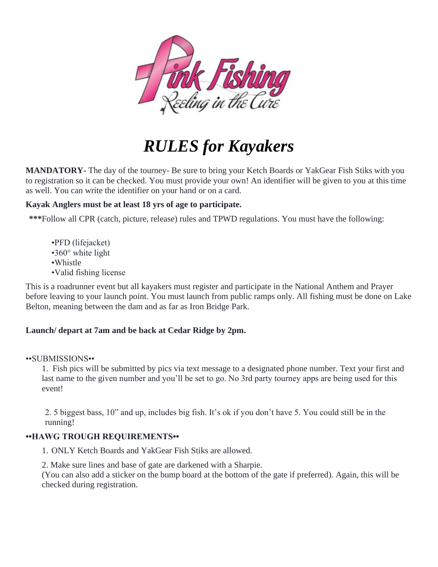

# *RULES for Kayakers*

**MANDATORY-** The day of the tourney- Be sure to bring your Ketch Boards or YakGear Fish Stiks with you to registration so it can be checked. You must provide your own! An identifier will be given to you at this time as well. You can write the identifier on your hand or on a card.

## **Kayak Anglers must be at least 18 yrs of age to participate.**

**\*\*\***Follow all CPR (catch, picture, release) rules and TPWD regulations. You must have the following:

- •PFD (lifejacket)
- •360° white light
- •Whistle
- •Valid fishing license

This is a roadrunner event but all kayakers must register and participate in the National Anthem and Prayer before leaving to your launch point. You must launch from public ramps only. All fishing must be done on Lake Belton, meaning between the dam and as far as Iron Bridge Park.

## **Launch/ depart at 7am and be back at Cedar Ridge by 2pm.**

### ••SUBMISSIONS••

1. Fish pics will be submitted by pics via text message to a designated phone number. Text your first and last name to the given number and you'll be set to go. No 3rd party tourney apps are being used for this event!

2. 5 biggest bass, 10" and up, includes big fish. It's ok if you don't have 5. You could still be in the running!

## **••HAWG TROUGH REQUIREMENTS••**

1. ONLY Ketch Boards and YakGear Fish Stiks are allowed.

2. Make sure lines and base of gate are darkened with a Sharpie.

(You can also add a sticker on the bump board at the bottom of the gate if preferred). Again, this will be checked during registration.